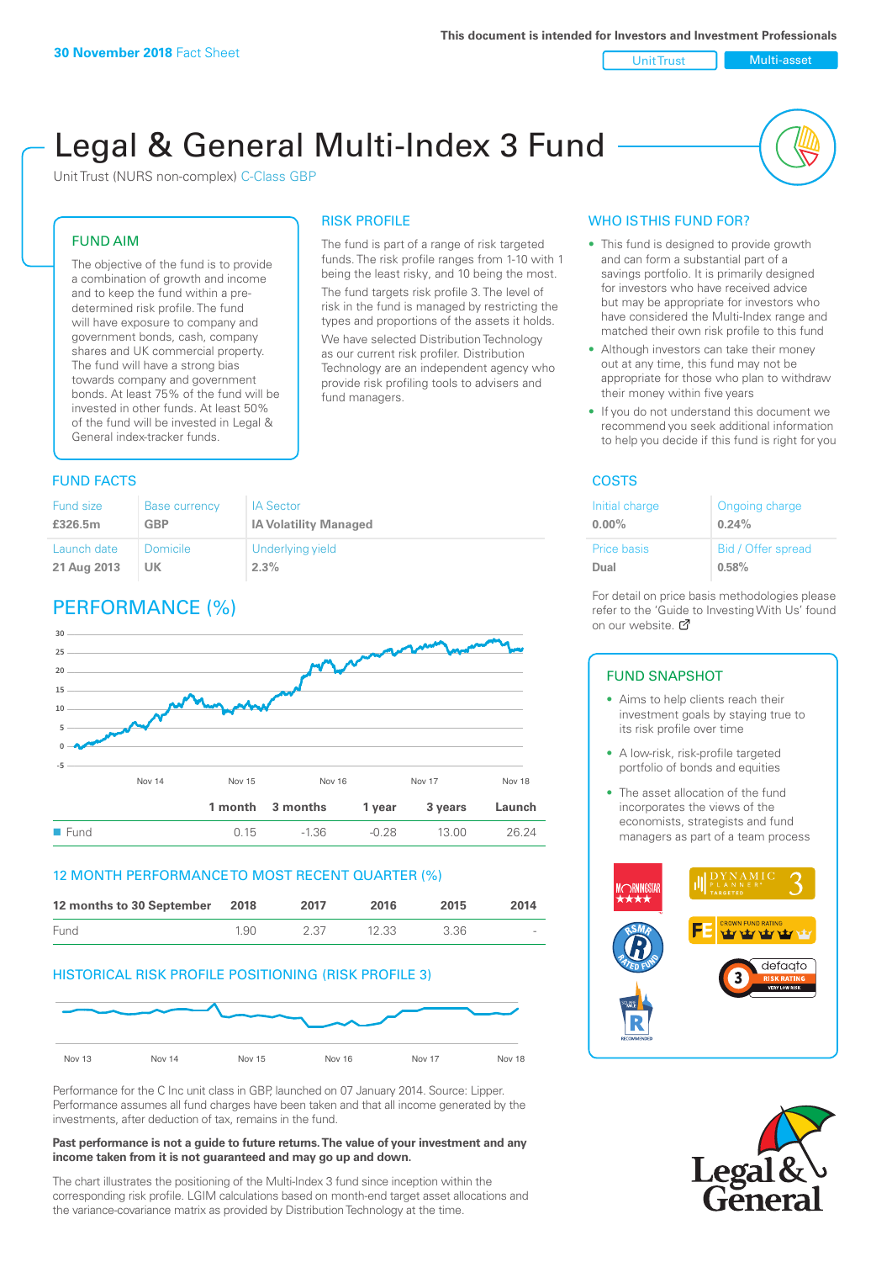Unit Trust Nulti-asset

# Legal & General Multi-Index 3 Fund

RISK PROFILE

fund managers.

The fund is part of a range of risk targeted funds. The risk profile ranges from 1-10 with 1 being the least risky, and 10 being the most. The fund targets risk profile 3. The level of risk in the fund is managed by restricting the types and proportions of the assets it holds. We have selected Distribution Technology as our current risk profiler. Distribution Technology are an independent agency who provide risk profiling tools to advisers and

Unit Trust (NURS non-complex) C-Class GBP

#### FUND AIM

The objective of the fund is to provide a combination of growth and income and to keep the fund within a predetermined risk profile. The fund will have exposure to company and government bonds, cash, company shares and UK commercial property. The fund will have a strong bias towards company and government bonds. At least 75% of the fund will be invested in other funds. At least 50% of the fund will be invested in Legal & General index-tracker funds.

### **FUND FACTS** COSTS

| Fund size   | <b>Base currency</b> | <b>IA Sector</b>             |
|-------------|----------------------|------------------------------|
| £326.5m     | <b>GBP</b>           | <b>IA Volatility Managed</b> |
| Launch date | <b>Domicile</b>      | Underlying yield             |
| 21 Aug 2013 | <b>UK</b>            | 2.3%                         |

# PERFORMANCE (%)



#### 12 MONTH PERFORMANCE TO MOST RECENT QUARTER (%)

| 12 months to 30 September 2018 |      | 2017 | 2016  | 2015 | 2014   |
|--------------------------------|------|------|-------|------|--------|
| Fund                           | 1.90 | 2.37 | 12.33 | 3.36 | $\sim$ |

#### HISTORICAL RISK PROFILE POSITIONING (RISK PROFILE 3)



Performance for the C Inc unit class in GBP, launched on 07 January 2014. Source: Lipper. Performance assumes all fund charges have been taken and that all income generated by the investments, after deduction of tax, remains in the fund.

#### **Past performance is not a guide to future returns. The value of your investment and any income taken from it is not guaranteed and may go up and down.**

The chart illustrates the positioning of the Multi-Index 3 fund since inception within the corresponding risk profile. LGIM calculations based on month-end target asset allocations and the variance-covariance matrix as provided by Distribution Technology at the time.

### WHO IS THIS FUND FOR?

- This fund is designed to provide growth and can form a substantial part of a savings portfolio. It is primarily designed for investors who have received advice but may be appropriate for investors who have considered the Multi-Index range and matched their own risk profile to this fund
- Although investors can take their money out at any time, this fund may not be appropriate for those who plan to withdraw their money within five years
- If you do not understand this document we recommend you seek additional information to help you decide if this fund is right for you

| Initial charge | Ongoing charge     |
|----------------|--------------------|
| $0.00\%$       | 0.24%              |
| Price basis    | Bid / Offer spread |
| Dual           | 0.58%              |

For detail on price basis methodologies please refer to the 'Guide to Investing With Us' found on our website. Ø

#### FUND SNAPSHOT

- Aims to help clients reach their investment goals by staying true to its risk profile over time
- A low-risk, risk-profile targeted portfolio of bonds and equities
- The asset allocation of the fund incorporates the views of the economists, strategists and fund managers as part of a team process



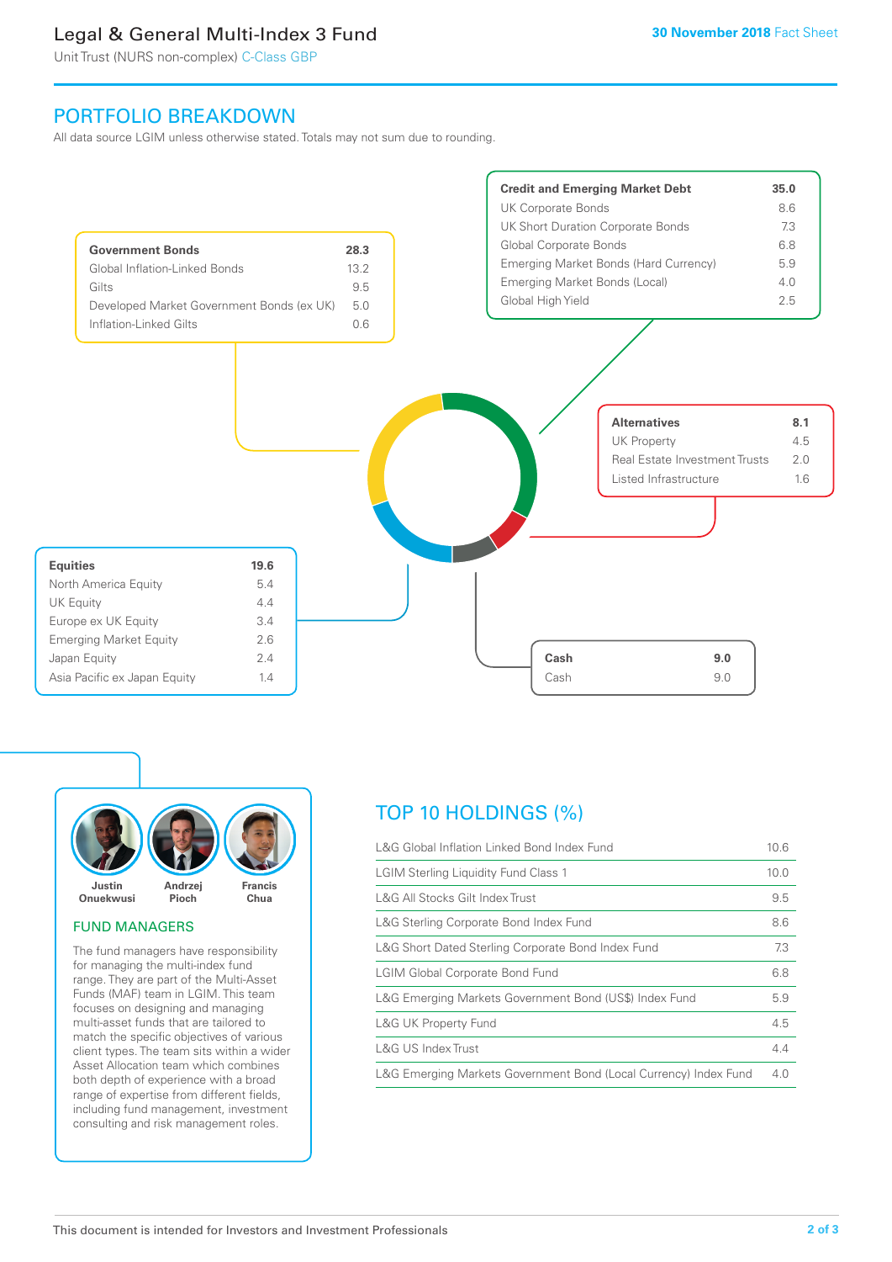# Legal & General Multi-Index 3 Fund

Unit Trust (NURS non-complex) C-Class GBP

## PORTFOLIO BREAKDOWN

All data source LGIM unless otherwise stated. Totals may not sum due to rounding.





#### FUND MANAGERS

The fund managers have responsibility for managing the multi-index fund range. They are part of the Multi-Asset Funds (MAF) team in LGIM. This team focuses on designing and managing multi-asset funds that are tailored to match the specific objectives of various client types. The team sits within a wider Asset Allocation team which combines both depth of experience with a broad range of expertise from different fields, including fund management, investment consulting and risk management roles.

# TOP 10 HOLDINGS (%)

| L&G Global Inflation Linked Bond Index Fund                      | 10.6 |
|------------------------------------------------------------------|------|
| <b>LGIM Sterling Liquidity Fund Class 1</b>                      | 10.0 |
| L&G All Stocks Gilt Index Trust                                  | 9.5  |
| L&G Sterling Corporate Bond Index Fund                           | 8.6  |
| L&G Short Dated Sterling Corporate Bond Index Fund               | 7.3  |
| <b>LGIM Global Corporate Bond Fund</b>                           | 6.8  |
| L&G Emerging Markets Government Bond (US\$) Index Fund           | 5.9  |
| <b>L&amp;G UK Property Fund</b>                                  | 4.5  |
| L&G US Index Trust                                               | 4.4  |
| L&G Emerging Markets Government Bond (Local Currency) Index Fund | 4.0  |